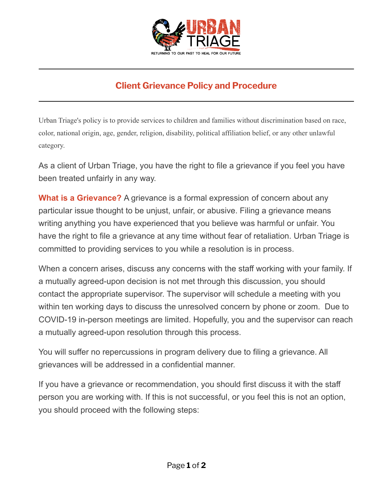

## **Client Grievance Policy and Procedure**

Urban Triage's policy is to provide services to children and families without discrimination based on race, color, national origin, age, gender, religion, disability, political affiliation belief, or any other unlawful category.

As a client of Urban Triage, you have the right to file a grievance if you feel you have been treated unfairly in any way.

**What is a Grievance?** A grievance is a formal expression of concern about any particular issue thought to be unjust, unfair, or abusive. Filing a grievance means writing anything you have experienced that you believe was harmful or unfair. You have the right to file a grievance at any time without fear of retaliation. Urban Triage is committed to providing services to you while a resolution is in process.

When a concern arises, discuss any concerns with the staff working with your family. If a mutually agreed-upon decision is not met through this discussion, you should contact the appropriate supervisor. The supervisor will schedule a meeting with you within ten working days to discuss the unresolved concern by phone or zoom. Due to COVID-19 in-person meetings are limited. Hopefully, you and the supervisor can reach a mutually agreed-upon resolution through this process.

You will suffer no repercussions in program delivery due to filing a grievance. All grievances will be addressed in a confidential manner.

If you have a grievance or recommendation, you should first discuss it with the staff person you are working with. If this is not successful, or you feel this is not an option, you should proceed with the following steps: